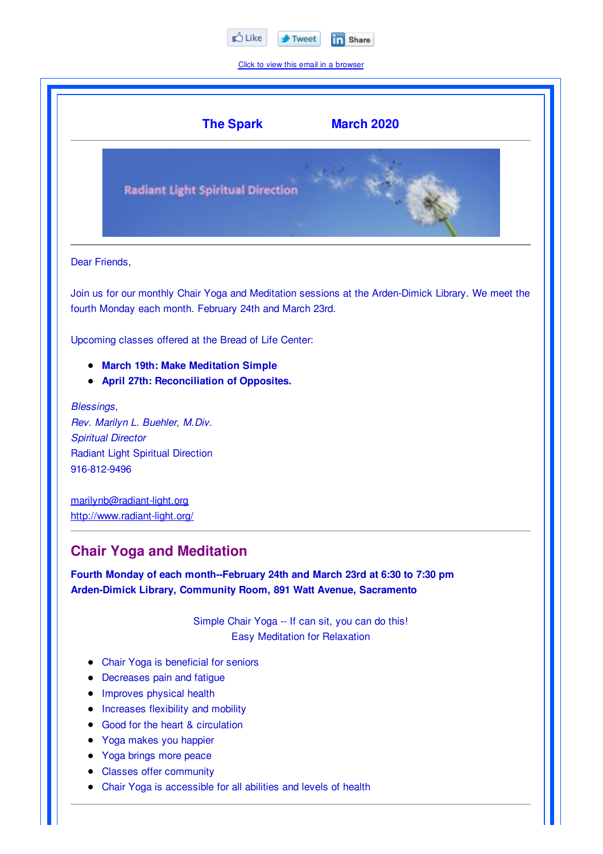

Click to view this email in a browser

|                           | <b>The Spark</b><br><b>March 2020</b>                                                                                                                                                 |
|---------------------------|---------------------------------------------------------------------------------------------------------------------------------------------------------------------------------------|
|                           | <b>Radiant Light Spiritual Direction</b>                                                                                                                                              |
| Dear Friends,             |                                                                                                                                                                                       |
|                           | Join us for our monthly Chair Yoga and Meditation sessions at the Arden-Dimick Library. We meet the<br>fourth Monday each month. February 24th and March 23rd.                        |
|                           | Upcoming classes offered at the Bread of Life Center:                                                                                                                                 |
|                           | <b>March 19th: Make Meditation Simple</b><br><b>April 27th: Reconciliation of Opposites.</b>                                                                                          |
| <b>Blessings,</b>         |                                                                                                                                                                                       |
| <b>Spiritual Director</b> | Rev. Marilyn L. Buehler, M.Div.                                                                                                                                                       |
|                           | <b>Radiant Light Spiritual Direction</b>                                                                                                                                              |
| 916-812-9496              |                                                                                                                                                                                       |
|                           | marilynb@radiant-light.org                                                                                                                                                            |
|                           | http://www.radiant-light.org/                                                                                                                                                         |
|                           | <b>Chair Yoga and Meditation</b><br>Fourth Monday of each month--February 24th and March 23rd at 6:30 to 7:30 pm<br>Arden-Dimick Library, Community Room, 891 Watt Avenue, Sacramento |
|                           | Simple Chair Yoga -- If can sit, you can do this!                                                                                                                                     |
|                           | <b>Easy Meditation for Relaxation</b>                                                                                                                                                 |
|                           | Chair Yoga is beneficial for seniors                                                                                                                                                  |
|                           | Decreases pain and fatigue                                                                                                                                                            |
|                           | Improves physical health                                                                                                                                                              |
|                           | Increases flexibility and mobility                                                                                                                                                    |

- Good for the heart & circulation
- Yoga makes you happier  $\bullet$
- Yoga brings more peace  $\bullet$
- Classes offer community  $\bullet$
- Chair Yoga is accessible for all abilities and levels of health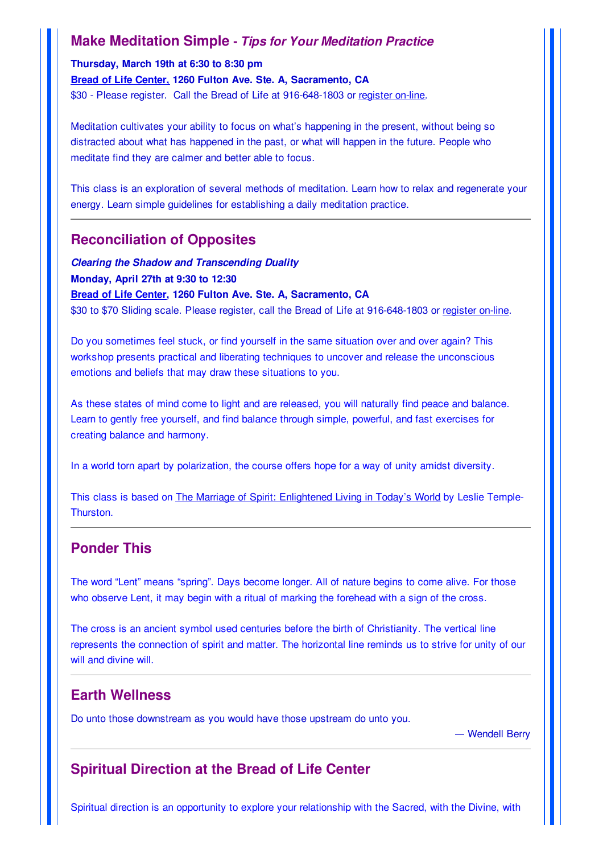## **Make Meditation Simple -** *Tips for Your Meditation Practice*

**Thursday, March 19th at 6:30 to 8:30 pm Bread of Life Center, 1260 Fulton Ave. Ste. A, Sacramento, CA** \$30 - Please register. Call the Bread of Life at 916-648-1803 or register on-line.

Meditation cultivates your ability to focus on what's happening in the present, without being so distracted about what has happened in the past, or what will happen in the future. People who meditate find they are calmer and better able to focus.

This class is an exploration of several methods of meditation. Learn how to relax and regenerate your energy. Learn simple guidelines for establishing a daily meditation practice.

### **Reconciliation of Opposites**

*Clearing the Shadow and Transcending Duality* **Monday, April 27th at 9:30 to 12:30 Bread of Life Center, 1260 Fulton Ave. Ste. A, Sacramento, CA** \$30 to \$70 Sliding scale. Please register, call the Bread of Life at 916-648-1803 or register on-line.

Do you sometimes feel stuck, or find yourself in the same situation over and over again? This workshop presents practical and liberating techniques to uncover and release the unconscious emotions and beliefs that may draw these situations to you.

As these states of mind come to light and are released, you will naturally find peace and balance. Learn to gently free yourself, and find balance through simple, powerful, and fast exercises for creating balance and harmony.

In a world torn apart by polarization, the course offers hope for a way of unity amidst diversity.

This class is based on The Marriage of Spirit: Enlightened Living in Today's World by Leslie Temple-Thurston.

### **Ponder This**

The word "Lent" means "spring". Days become longer. All of nature begins to come alive. For those who observe Lent, it may begin with a ritual of marking the forehead with a sign of the cross.

The cross is an ancient symbol used centuries before the birth of Christianity. The vertical line represents the connection of spirit and matter. The horizontal line reminds us to strive for unity of our will and divine will.

#### **Earth Wellness**

Do unto those downstream as you would have those upstream do unto you.

Wendell Berry

# **Spiritual Direction at the Bread of Life Center**

Spiritual direction is an opportunity to explore your relationship with the Sacred, with the Divine, with